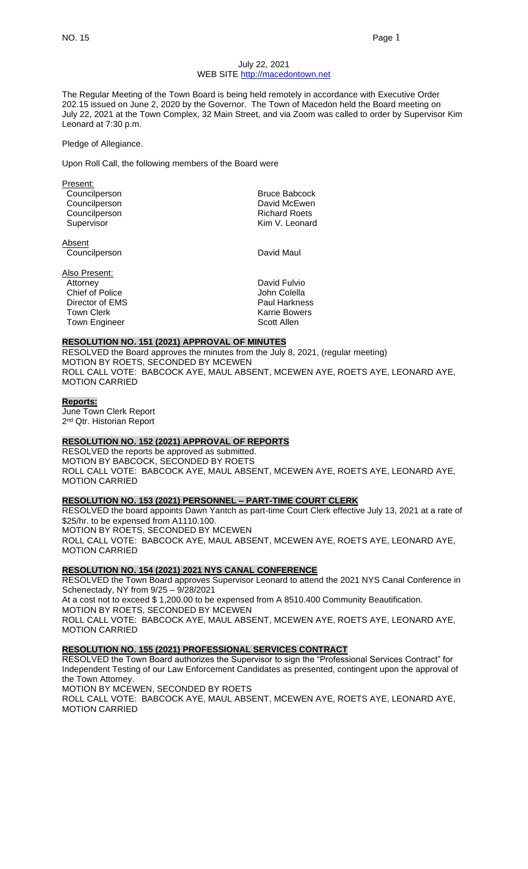## July 22, 2021 WEB SITE [http://macedontown.net](http://macedontown.net/)

The Regular Meeting of the Town Board is being held remotely in accordance with Executive Order 202.15 issued on June 2, 2020 by the Governor. The Town of Macedon held the Board meeting on July 22, 2021 at the Town Complex, 32 Main Street, and via Zoom was called to order by Supervisor Kim Leonard at 7:30 p.m.

#### Pledge of Allegiance.

Upon Roll Call, the following members of the Board were

| Present:            |                      |
|---------------------|----------------------|
| Councilperson       | <b>Bruce Babcock</b> |
| Councilperson       | David McEwen         |
| Councilperson       | <b>Richard Roets</b> |
| Supervisor          | Kim V. Leonard       |
| $A$ <sub>hoon</sub> |                      |

Absent Councilperson David Maul

Also Present: Attorney David Fulvio Chief of Police John Colella Director of EMS **Paul Harkness** Town Clerk **Karrie Bowers**<br>Town Engineer **Karrie Bowers** Scott Allen Town Engineer

#### **RESOLUTION NO. 151 (2021) APPROVAL OF MINUTES**

RESOLVED the Board approves the minutes from the July 8, 2021, (regular meeting) MOTION BY ROETS, SECONDED BY MCEWEN ROLL CALL VOTE: BABCOCK AYE, MAUL ABSENT, MCEWEN AYE, ROETS AYE, LEONARD AYE, MOTION CARRIED

## **Reports:**

June Town Clerk Report 2<sup>nd</sup> Qtr. Historian Report

# **RESOLUTION NO. 152 (2021) APPROVAL OF REPORTS**

RESOLVED the reports be approved as submitted. MOTION BY BABCOCK, SECONDED BY ROETS ROLL CALL VOTE: BABCOCK AYE, MAUL ABSENT, MCEWEN AYE, ROETS AYE, LEONARD AYE, MOTION CARRIED

#### **RESOLUTION NO. 153 (2021) PERSONNEL – PART-TIME COURT CLERK**

RESOLVED the board appoints Dawn Yantch as part-time Court Clerk effective July 13, 2021 at a rate of \$25/hr. to be expensed from A1110.100. MOTION BY ROETS, SECONDED BY MCEWEN ROLL CALL VOTE: BABCOCK AYE, MAUL ABSENT, MCEWEN AYE, ROETS AYE, LEONARD AYE, MOTION CARRIED

### **RESOLUTION NO. 154 (2021) 2021 NYS CANAL CONFERENCE**

RESOLVED the Town Board approves Supervisor Leonard to attend the 2021 NYS Canal Conference in Schenectady, NY from 9/25 – 9/28/2021 At a cost not to exceed \$ 1,200.00 to be expensed from A 8510.400 Community Beautification. MOTION BY ROETS, SECONDED BY MCEWEN ROLL CALL VOTE: BABCOCK AYE, MAUL ABSENT, MCEWEN AYE, ROETS AYE, LEONARD AYE, MOTION CARRIED

## **RESOLUTION NO. 155 (2021) PROFESSIONAL SERVICES CONTRACT**

RESOLVED the Town Board authorizes the Supervisor to sign the "Professional Services Contract" for Independent Testing of our Law Enforcement Candidates as presented, contingent upon the approval of the Town Attorney.

MOTION BY MCEWEN, SECONDED BY ROETS

ROLL CALL VOTE: BABCOCK AYE, MAUL ABSENT, MCEWEN AYE, ROETS AYE, LEONARD AYE, MOTION CARRIED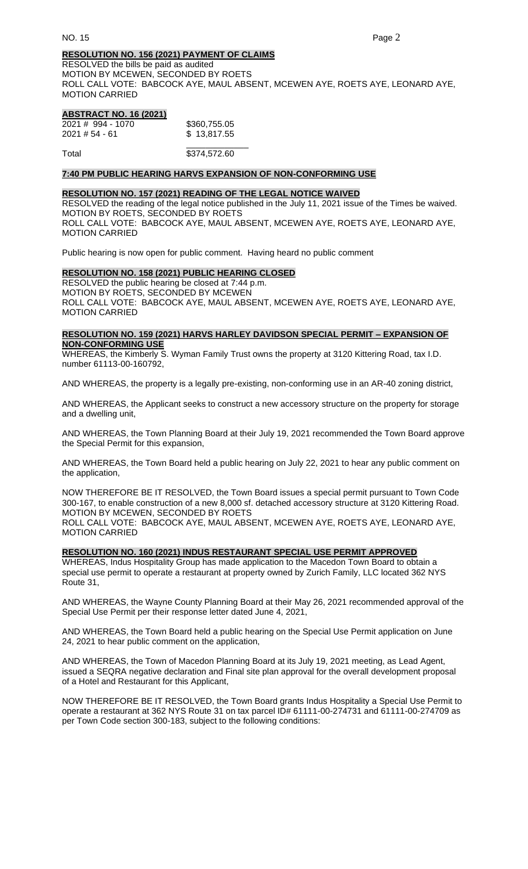# **RESOLUTION NO. 156 (2021) PAYMENT OF CLAIMS**

RESOLVED the bills be paid as audited MOTION BY MCEWEN, SECONDED BY ROETS ROLL CALL VOTE: BABCOCK AYE, MAUL ABSENT, MCEWEN AYE, ROETS AYE, LEONARD AYE, MOTION CARRIED

# **ABSTRACT NO. 16 (2021)**

| $2021 \# 994 - 1070$ | \$360,755.05 |
|----------------------|--------------|
| $2021 \# 54 - 61$    | \$13,817.55  |
|                      |              |

Total \$374,572.60

## **7:40 PM PUBLIC HEARING HARVS EXPANSION OF NON-CONFORMING USE**

## **RESOLUTION NO. 157 (2021) READING OF THE LEGAL NOTICE WAIVED**

RESOLVED the reading of the legal notice published in the July 11, 2021 issue of the Times be waived. MOTION BY ROETS, SECONDED BY ROETS ROLL CALL VOTE: BABCOCK AYE, MAUL ABSENT, MCEWEN AYE, ROETS AYE, LEONARD AYE, MOTION CARRIED

Public hearing is now open for public comment. Having heard no public comment

# **RESOLUTION NO. 158 (2021) PUBLIC HEARING CLOSED**

RESOLVED the public hearing be closed at 7:44 p.m. MOTION BY ROETS, SECONDED BY MCEWEN ROLL CALL VOTE: BABCOCK AYE, MAUL ABSENT, MCEWEN AYE, ROETS AYE, LEONARD AYE, MOTION CARRIED

# **RESOLUTION NO. 159 (2021) HARVS HARLEY DAVIDSON SPECIAL PERMIT – EXPANSION OF NON-CONFORMING USE**

WHEREAS, the Kimberly S. Wyman Family Trust owns the property at 3120 Kittering Road, tax I.D. number 61113-00-160792,

AND WHEREAS, the property is a legally pre-existing, non-conforming use in an AR-40 zoning district,

AND WHEREAS, the Applicant seeks to construct a new accessory structure on the property for storage and a dwelling unit,

AND WHEREAS, the Town Planning Board at their July 19, 2021 recommended the Town Board approve the Special Permit for this expansion,

AND WHEREAS, the Town Board held a public hearing on July 22, 2021 to hear any public comment on the application,

NOW THEREFORE BE IT RESOLVED, the Town Board issues a special permit pursuant to Town Code 300-167, to enable construction of a new 8,000 sf. detached accessory structure at 3120 Kittering Road. MOTION BY MCEWEN, SECONDED BY ROETS

ROLL CALL VOTE: BABCOCK AYE, MAUL ABSENT, MCEWEN AYE, ROETS AYE, LEONARD AYE, MOTION CARRIED

#### **RESOLUTION NO. 160 (2021) INDUS RESTAURANT SPECIAL USE PERMIT APPROVED**

WHEREAS, Indus Hospitality Group has made application to the Macedon Town Board to obtain a special use permit to operate a restaurant at property owned by Zurich Family, LLC located 362 NYS Route 31,

AND WHEREAS, the Wayne County Planning Board at their May 26, 2021 recommended approval of the Special Use Permit per their response letter dated June 4, 2021,

AND WHEREAS, the Town Board held a public hearing on the Special Use Permit application on June 24, 2021 to hear public comment on the application,

AND WHEREAS, the Town of Macedon Planning Board at its July 19, 2021 meeting, as Lead Agent, issued a SEQRA negative declaration and Final site plan approval for the overall development proposal of a Hotel and Restaurant for this Applicant,

NOW THEREFORE BE IT RESOLVED, the Town Board grants Indus Hospitality a Special Use Permit to operate a restaurant at 362 NYS Route 31 on tax parcel ID# 61111-00-274731 and 61111-00-274709 as per Town Code section 300-183, subject to the following conditions: